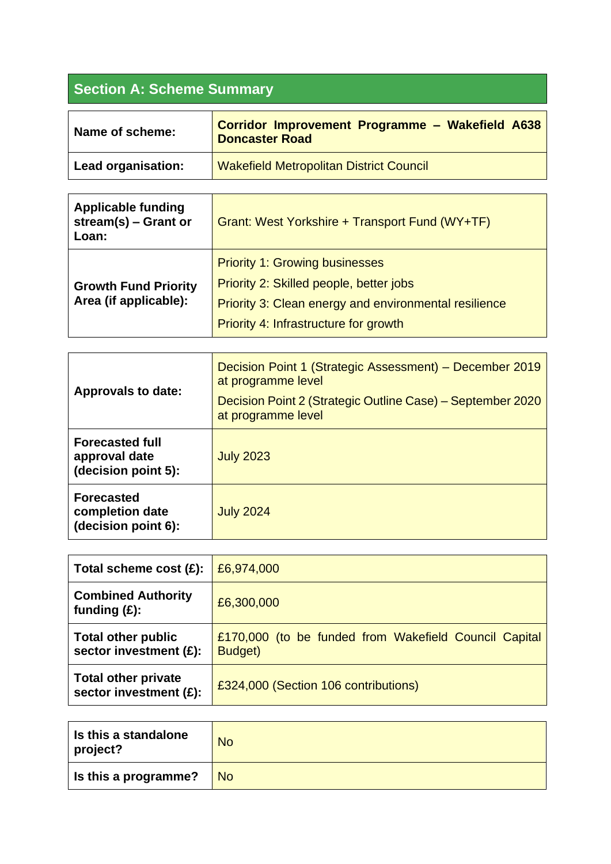## **Section A: Scheme Summary**

| Name of scheme:    | Corridor Improvement Programme - Wakefield A638<br><b>Doncaster Road</b> |
|--------------------|--------------------------------------------------------------------------|
| Lead organisation: | Wakefield Metropolitan District Council                                  |

| <b>Applicable funding</b><br>stream(s) $-$ Grant or<br>Loan: | Grant: West Yorkshire + Transport Fund (WY+TF)                                                                                                                                     |
|--------------------------------------------------------------|------------------------------------------------------------------------------------------------------------------------------------------------------------------------------------|
| <b>Growth Fund Priority</b><br>Area (if applicable):         | <b>Priority 1: Growing businesses</b><br>Priority 2: Skilled people, better jobs<br>Priority 3: Clean energy and environmental resilience<br>Priority 4: Infrastructure for growth |

| <b>Approvals to date:</b>                                      | Decision Point 1 (Strategic Assessment) – December 2019<br>at programme level<br>Decision Point 2 (Strategic Outline Case) – September 2020<br>at programme level |
|----------------------------------------------------------------|-------------------------------------------------------------------------------------------------------------------------------------------------------------------|
| <b>Forecasted full</b><br>approval date<br>(decision point 5): | <b>July 2023</b>                                                                                                                                                  |
| <b>Forecasted</b><br>completion date<br>(decision point 6):    | <b>July 2024</b>                                                                                                                                                  |

| Total scheme cost $(E)$ :                            | £6,974,000                                                       |
|------------------------------------------------------|------------------------------------------------------------------|
| <b>Combined Authority</b><br>funding $(E)$ :         | £6,300,000                                                       |
| <b>Total other public</b><br>sector investment (£):  | £170,000 (to be funded from Wakefield Council Capital<br>Budget) |
| <b>Total other private</b><br>sector investment (£): | £324,000 (Section 106 contributions)                             |

| Is this a standalone<br>project? | <b>No</b> |
|----------------------------------|-----------|
| Is this a programme?             | <b>No</b> |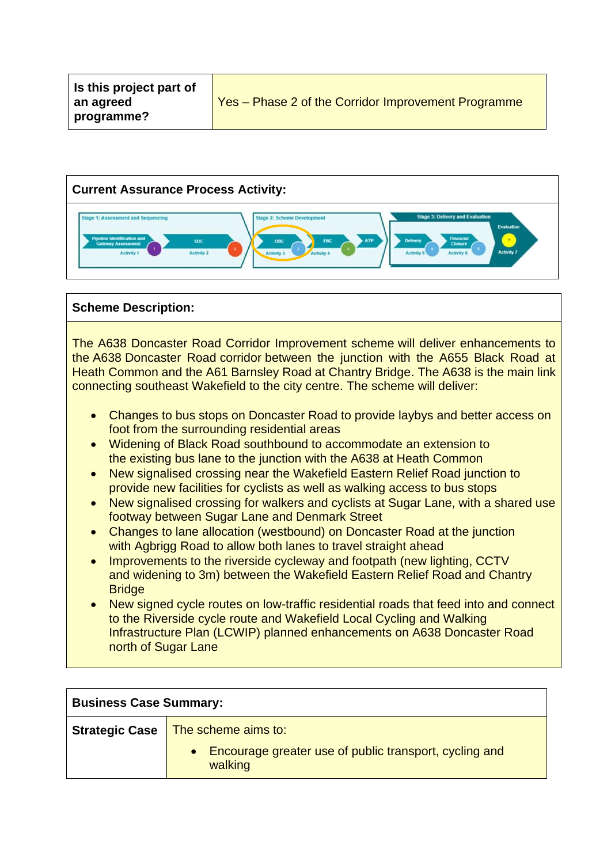

## **Scheme Description:**

The A638 Doncaster Road Corridor Improvement scheme will deliver enhancements to the A638 Doncaster Road corridor between the junction with the A655 Black Road at Heath Common and the A61 Barnsley Road at Chantry Bridge. The A638 is the main link connecting southeast Wakefield to the city centre. The scheme will deliver:

- Changes to bus stops on Doncaster Road to provide laybys and better access on foot from the surrounding residential areas
- Widening of Black Road southbound to accommodate an extension to the existing bus lane to the junction with the A638 at Heath Common
- New signalised crossing near the Wakefield Eastern Relief Road junction to provide new facilities for cyclists as well as walking access to bus stops
- New signalised crossing for walkers and cyclists at Sugar Lane, with a shared use footway between Sugar Lane and Denmark Street
- Changes to lane allocation (westbound) on Doncaster Road at the junction with Agbrigg Road to allow both lanes to travel straight ahead
- Improvements to the riverside cycleway and footpath (new lighting, CCTV and widening to 3m) between the Wakefield Eastern Relief Road and Chantry **Bridge**
- New signed cycle routes on low-traffic residential roads that feed into and connect to the Riverside cycle route and Wakefield Local Cycling and Walking Infrastructure Plan (LCWIP) planned enhancements on A638 Doncaster Road north of Sugar Lane

| <b>Business Case Summary:</b> |                                                                     |
|-------------------------------|---------------------------------------------------------------------|
|                               | <b>Strategic Case</b>   The scheme aims to:                         |
|                               | • Encourage greater use of public transport, cycling and<br>walking |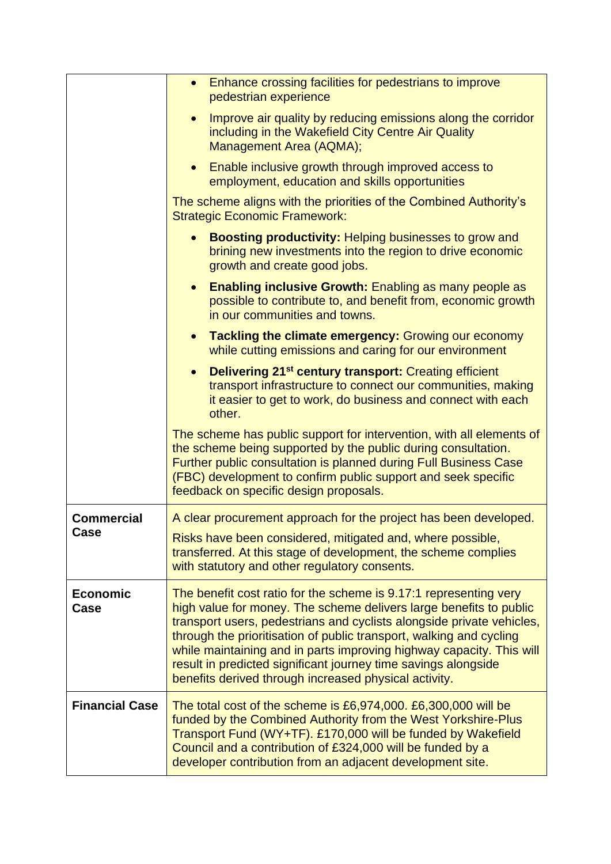|                         | Enhance crossing facilities for pedestrians to improve<br>$\bullet$<br>pedestrian experience                                                                                                                                                                                                                                                                                                                                                                                               |
|-------------------------|--------------------------------------------------------------------------------------------------------------------------------------------------------------------------------------------------------------------------------------------------------------------------------------------------------------------------------------------------------------------------------------------------------------------------------------------------------------------------------------------|
|                         | Improve air quality by reducing emissions along the corridor<br>including in the Wakefield City Centre Air Quality<br>Management Area (AQMA);                                                                                                                                                                                                                                                                                                                                              |
|                         | Enable inclusive growth through improved access to<br>employment, education and skills opportunities                                                                                                                                                                                                                                                                                                                                                                                       |
|                         | The scheme aligns with the priorities of the Combined Authority's<br><b>Strategic Economic Framework:</b>                                                                                                                                                                                                                                                                                                                                                                                  |
|                         | <b>Boosting productivity: Helping businesses to grow and</b><br>brining new investments into the region to drive economic<br>growth and create good jobs.                                                                                                                                                                                                                                                                                                                                  |
|                         | <b>Enabling inclusive Growth:</b> Enabling as many people as<br>$\bullet$<br>possible to contribute to, and benefit from, economic growth<br>in our communities and towns.                                                                                                                                                                                                                                                                                                                 |
|                         | <b>Tackling the climate emergency: Growing our economy</b><br>$\bullet$<br>while cutting emissions and caring for our environment                                                                                                                                                                                                                                                                                                                                                          |
|                         | <b>Delivering 21<sup>st</sup> century transport:</b> Creating efficient<br>$\bullet$<br>transport infrastructure to connect our communities, making<br>it easier to get to work, do business and connect with each<br>other.                                                                                                                                                                                                                                                               |
|                         | The scheme has public support for intervention, with all elements of<br>the scheme being supported by the public during consultation.<br>Further public consultation is planned during Full Business Case<br>(FBC) development to confirm public support and seek specific<br>feedback on specific design proposals.                                                                                                                                                                       |
| <b>Commercial</b>       | A clear procurement approach for the project has been developed.                                                                                                                                                                                                                                                                                                                                                                                                                           |
| Case                    | Risks have been considered, mitigated and, where possible,<br>transferred. At this stage of development, the scheme complies<br>with statutory and other regulatory consents.                                                                                                                                                                                                                                                                                                              |
| <b>Economic</b><br>Case | The benefit cost ratio for the scheme is 9.17:1 representing very<br>high value for money. The scheme delivers large benefits to public<br>transport users, pedestrians and cyclists alongside private vehicles,<br>through the prioritisation of public transport, walking and cycling<br>while maintaining and in parts improving highway capacity. This will<br>result in predicted significant journey time savings alongside<br>benefits derived through increased physical activity. |
| <b>Financial Case</b>   | The total cost of the scheme is $£6,974,000$ . $£6,300,000$ will be<br>funded by the Combined Authority from the West Yorkshire-Plus<br>Transport Fund (WY+TF). £170,000 will be funded by Wakefield<br>Council and a contribution of £324,000 will be funded by a<br>developer contribution from an adjacent development site.                                                                                                                                                            |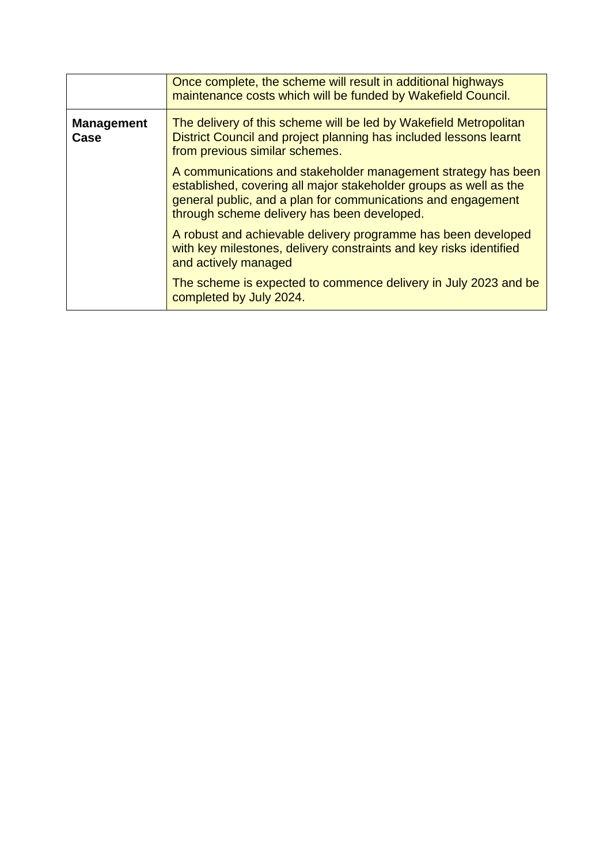|                           | Once complete, the scheme will result in additional highways<br>maintenance costs which will be funded by Wakefield Council.                                                                                                                      |
|---------------------------|---------------------------------------------------------------------------------------------------------------------------------------------------------------------------------------------------------------------------------------------------|
| <b>Management</b><br>Case | The delivery of this scheme will be led by Wakefield Metropolitan<br>District Council and project planning has included lessons learnt<br>from previous similar schemes.                                                                          |
|                           | A communications and stakeholder management strategy has been<br>established, covering all major stakeholder groups as well as the<br>general public, and a plan for communications and engagement<br>through scheme delivery has been developed. |
|                           | A robust and achievable delivery programme has been developed<br>with key milestones, delivery constraints and key risks identified<br>and actively managed                                                                                       |
|                           | The scheme is expected to commence delivery in July 2023 and be<br>completed by July 2024.                                                                                                                                                        |